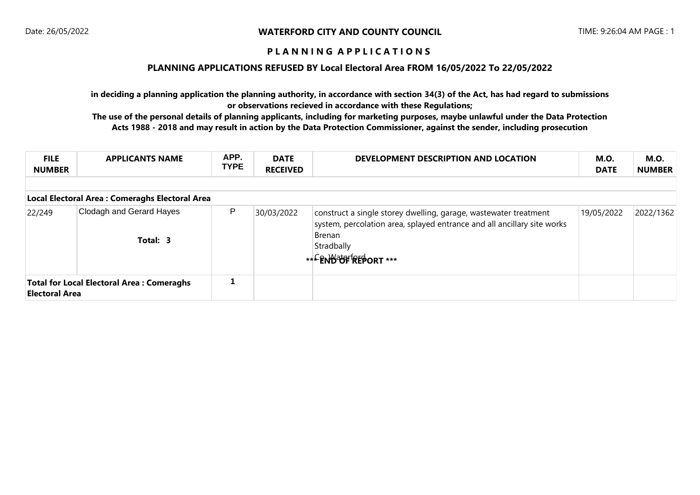### **PLANNING APPLICATIONS REFUSED BY Local Electoral Area FROM 16/05/2022 To 22/05/2022**

**in deciding a planning application the planning authority, in accordance with section 34(3) of the Act, has had regard to submissions or observations recieved in accordance with these Regulations;**

| <b>FILE</b><br><b>NUMBER</b>                                              | <b>APPLICANTS NAME</b>               | APP.<br><b>TYPE</b> | <b>DATE</b><br><b>RECEIVED</b> | DEVELOPMENT DESCRIPTION AND LOCATION                                                                                                                                                         | <b>M.O.</b><br><b>DATE</b> | M.O.<br><b>NUMBER</b> |  |  |
|---------------------------------------------------------------------------|--------------------------------------|---------------------|--------------------------------|----------------------------------------------------------------------------------------------------------------------------------------------------------------------------------------------|----------------------------|-----------------------|--|--|
| Local Electoral Area : Comeraghs Electoral Area                           |                                      |                     |                                |                                                                                                                                                                                              |                            |                       |  |  |
| 22/249                                                                    | Clodagh and Gerard Hayes<br>Total: 3 | P                   | 30/03/2022                     | construct a single storey dwelling, garage, wastewater treatment<br>system, percolation area, splayed entrance and all ancillary site works<br>Brenan<br>Stradbally<br>*** ENBEOF REPORT *** | 19/05/2022                 | 2022/1362             |  |  |
| <b>Total for Local Electoral Area: Comeraghs</b><br><b>Electoral Area</b> |                                      |                     |                                |                                                                                                                                                                                              |                            |                       |  |  |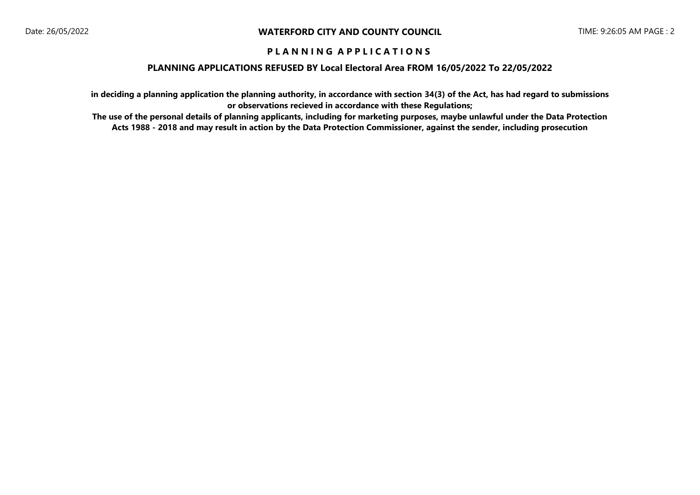### **PLANNING APPLICATIONS REFUSED BY Local Electoral Area FROM 16/05/2022 To 22/05/2022**

**in deciding a planning application the planning authority, in accordance with section 34(3) of the Act, has had regard to submissions or observations recieved in accordance with these Regulations;**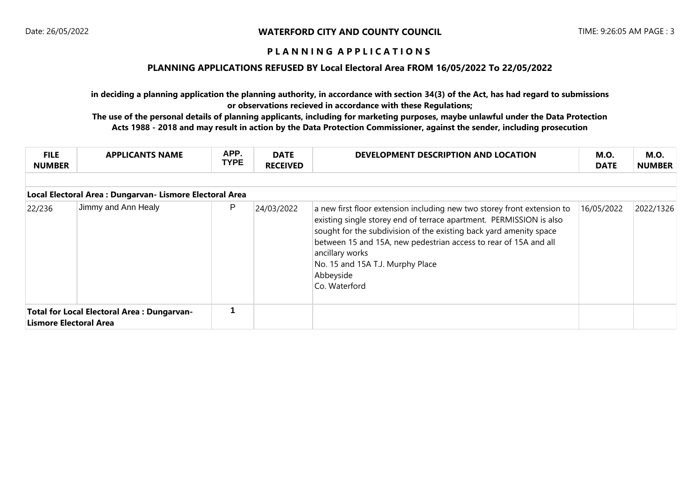### **PLANNING APPLICATIONS REFUSED BY Local Electoral Area FROM 16/05/2022 To 22/05/2022**

**in deciding a planning application the planning authority, in accordance with section 34(3) of the Act, has had regard to submissions or observations recieved in accordance with these Regulations;**

| <b>FILE</b><br><b>NUMBER</b>                                         | <b>APPLICANTS NAME</b> | APP.<br><b>TYPE</b> | <b>DATE</b><br><b>RECEIVED</b> | DEVELOPMENT DESCRIPTION AND LOCATION                                                                                                                                                                                                                                                                                                                                          | <b>M.O.</b><br><b>DATE</b> | M.O.<br><b>NUMBER</b> |  |  |
|----------------------------------------------------------------------|------------------------|---------------------|--------------------------------|-------------------------------------------------------------------------------------------------------------------------------------------------------------------------------------------------------------------------------------------------------------------------------------------------------------------------------------------------------------------------------|----------------------------|-----------------------|--|--|
|                                                                      |                        |                     |                                |                                                                                                                                                                                                                                                                                                                                                                               |                            |                       |  |  |
| Local Electoral Area : Dungarvan- Lismore Electoral Area             |                        |                     |                                |                                                                                                                                                                                                                                                                                                                                                                               |                            |                       |  |  |
| 22/236                                                               | Jimmy and Ann Healy    | P                   | 24/03/2022                     | a new first floor extension including new two storey front extension to<br>existing single storey end of terrace apartment. PERMISSION is also<br>sought for the subdivision of the existing back yard amenity space<br>between 15 and 15A, new pedestrian access to rear of 15A and all<br>ancillary works<br>No. 15 and 15A T.J. Murphy Place<br>Abbeyside<br>Co. Waterford | 16/05/2022                 | 2022/1326             |  |  |
| Total for Local Electoral Area: Dungarvan-<br>Lismore Electoral Area |                        |                     |                                |                                                                                                                                                                                                                                                                                                                                                                               |                            |                       |  |  |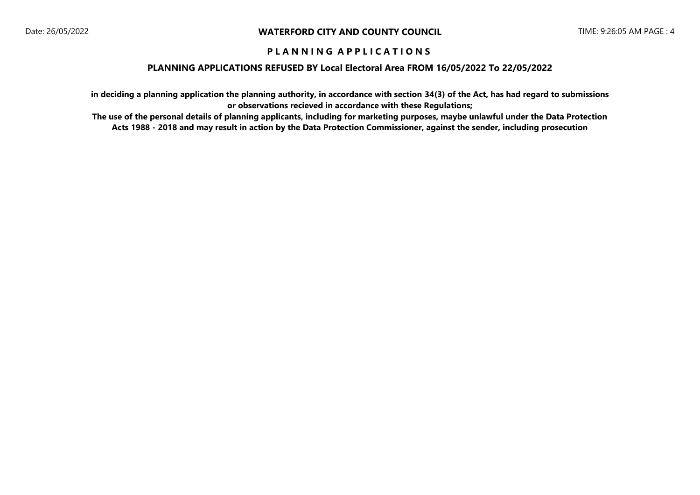### **PLANNING APPLICATIONS REFUSED BY Local Electoral Area FROM 16/05/2022 To 22/05/2022**

**in deciding a planning application the planning authority, in accordance with section 34(3) of the Act, has had regard to submissions or observations recieved in accordance with these Regulations;**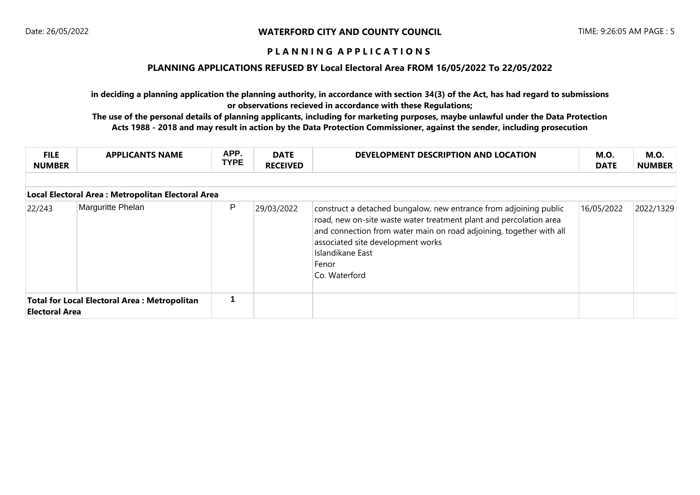### **PLANNING APPLICATIONS REFUSED BY Local Electoral Area FROM 16/05/2022 To 22/05/2022**

**in deciding a planning application the planning authority, in accordance with section 34(3) of the Act, has had regard to submissions or observations recieved in accordance with these Regulations;**

| <b>FILE</b><br><b>NUMBER</b>                                                 | <b>APPLICANTS NAME</b> | APP.<br><b>TYPE</b> | <b>DATE</b><br><b>RECEIVED</b> | DEVELOPMENT DESCRIPTION AND LOCATION                                                                                                                                                                                                                                                              | <b>M.O.</b><br><b>DATE</b> | <b>M.O.</b><br><b>NUMBER</b> |  |  |
|------------------------------------------------------------------------------|------------------------|---------------------|--------------------------------|---------------------------------------------------------------------------------------------------------------------------------------------------------------------------------------------------------------------------------------------------------------------------------------------------|----------------------------|------------------------------|--|--|
|                                                                              |                        |                     |                                |                                                                                                                                                                                                                                                                                                   |                            |                              |  |  |
| Local Electoral Area: Metropolitan Electoral Area                            |                        |                     |                                |                                                                                                                                                                                                                                                                                                   |                            |                              |  |  |
| 22/243                                                                       | Marguritte Phelan      | P                   | 29/03/2022                     | construct a detached bungalow, new entrance from adjoining public<br>road, new on-site waste water treatment plant and percolation area<br>and connection from water main on road adjoining, together with all<br>associated site development works<br>Islandikane East<br>Fenor<br>Co. Waterford | 16/05/2022                 | 2022/1329                    |  |  |
| <b>Total for Local Electoral Area: Metropolitan</b><br><b>Electoral Area</b> |                        |                     |                                |                                                                                                                                                                                                                                                                                                   |                            |                              |  |  |